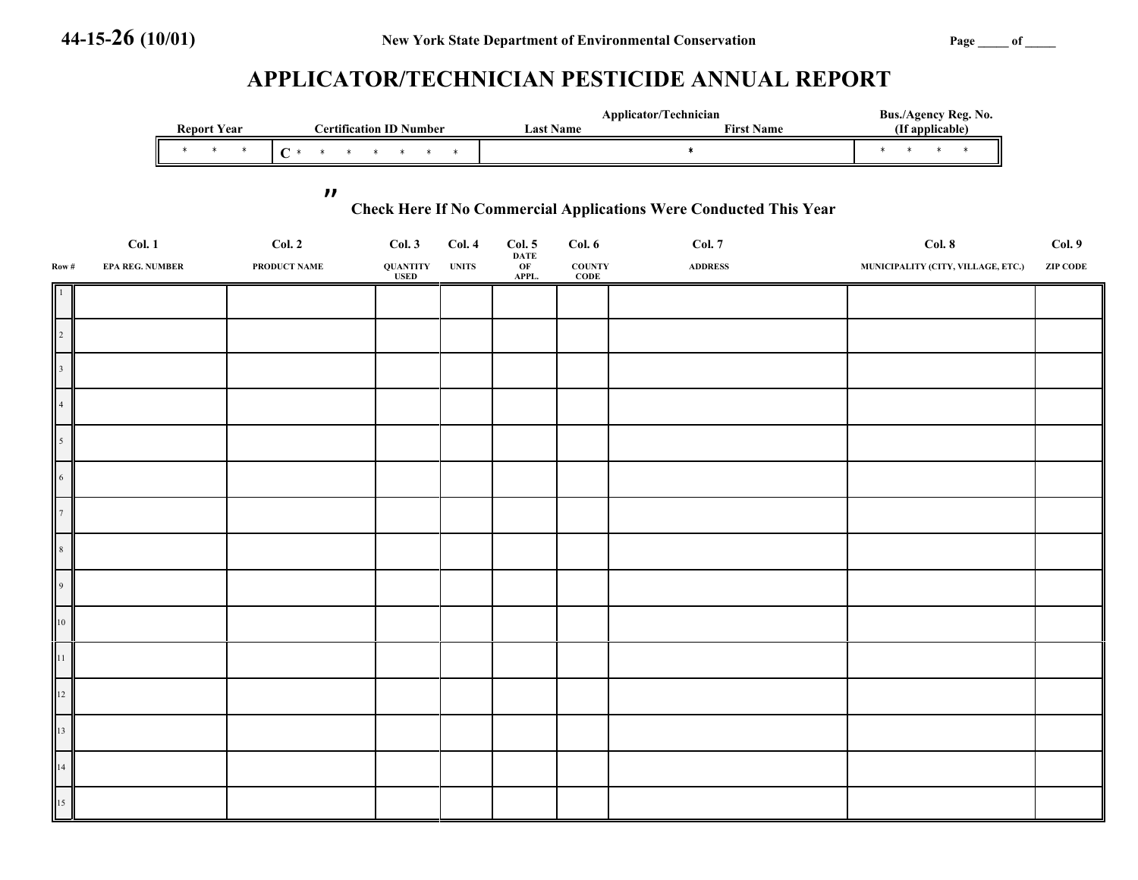# **APPLICATOR/TECHNICIAN PESTICIDE ANNUAL REPORT**

|                | <b>Report Year</b><br><b>Certification ID Number</b>                                                   |  |                          |              |  |                                                                                                                                                                                                                                                                                                                                                                                         | Applicator/Technician<br><b>Last Name</b><br><b>First Name</b> |                       |                              | Bus./Agency Reg. No.<br>(If applicable) |                                             |                 |
|----------------|--------------------------------------------------------------------------------------------------------|--|--------------------------|--------------|--|-----------------------------------------------------------------------------------------------------------------------------------------------------------------------------------------------------------------------------------------------------------------------------------------------------------------------------------------------------------------------------------------|----------------------------------------------------------------|-----------------------|------------------------------|-----------------------------------------|---------------------------------------------|-----------------|
|                |                                                                                                        |  | $\star$ $\qquad$ $\star$ |              |  | $C \stackrel{\star}{\vphantom{a}} \stackrel{\star}{\vphantom{a}} \stackrel{\star}{\vphantom{a}} \stackrel{\star}{\vphantom{a}} \stackrel{\star}{\vphantom{a}} \stackrel{\star}{\vphantom{a}} \stackrel{\star}{\vphantom{a}} \stackrel{\star}{\vphantom{a}} \stackrel{\star}{\vphantom{a}} \stackrel{\star}{\vphantom{a}} \stackrel{\star}{\vphantom{a}} \stackrel{\star}{\vphantom{a}}$ |                                                                |                       |                              | $\star$                                 | $\star\qquad \star\qquad \star\qquad \star$ |                 |
|                |                                                                                                        |  |                          |              |  |                                                                                                                                                                                                                                                                                                                                                                                         |                                                                |                       |                              |                                         |                                             |                 |
|                | $\boldsymbol{\mathcal{H}}$<br><b>Check Here If No Commercial Applications Were Conducted This Year</b> |  |                          |              |  |                                                                                                                                                                                                                                                                                                                                                                                         |                                                                |                       |                              |                                         |                                             |                 |
|                | Col. 1                                                                                                 |  |                          | Col. 2       |  | Col.3                                                                                                                                                                                                                                                                                                                                                                                   | Col.4                                                          | Col. 5<br><b>DATE</b> | Col. 6                       | <b>Col. 7</b>                           | Col. 8                                      | Col. 9          |
| Row#           | <b>EPA REG. NUMBER</b>                                                                                 |  |                          | PRODUCT NAME |  | $\pmb{\text{QUANTITY}}$<br><b>USED</b>                                                                                                                                                                                                                                                                                                                                                  | <b>UNITS</b>                                                   | OF<br>APPL.           | <b>COUNTY</b><br><b>CODE</b> | <b>ADDRESS</b>                          | MUNICIPALITY (CITY, VILLAGE, ETC.)          | <b>ZIP CODE</b> |
|                |                                                                                                        |  |                          |              |  |                                                                                                                                                                                                                                                                                                                                                                                         |                                                                |                       |                              |                                         |                                             |                 |
| $\overline{c}$ |                                                                                                        |  |                          |              |  |                                                                                                                                                                                                                                                                                                                                                                                         |                                                                |                       |                              |                                         |                                             |                 |
|                |                                                                                                        |  |                          |              |  |                                                                                                                                                                                                                                                                                                                                                                                         |                                                                |                       |                              |                                         |                                             |                 |
|                |                                                                                                        |  |                          |              |  |                                                                                                                                                                                                                                                                                                                                                                                         |                                                                |                       |                              |                                         |                                             |                 |
|                |                                                                                                        |  |                          |              |  |                                                                                                                                                                                                                                                                                                                                                                                         |                                                                |                       |                              |                                         |                                             |                 |
| 5              |                                                                                                        |  |                          |              |  |                                                                                                                                                                                                                                                                                                                                                                                         |                                                                |                       |                              |                                         |                                             |                 |
| $\sqrt{6}$     |                                                                                                        |  |                          |              |  |                                                                                                                                                                                                                                                                                                                                                                                         |                                                                |                       |                              |                                         |                                             |                 |
|                |                                                                                                        |  |                          |              |  |                                                                                                                                                                                                                                                                                                                                                                                         |                                                                |                       |                              |                                         |                                             |                 |
| $\mathbf{R}$   |                                                                                                        |  |                          |              |  |                                                                                                                                                                                                                                                                                                                                                                                         |                                                                |                       |                              |                                         |                                             |                 |
| 9 <sup>°</sup> |                                                                                                        |  |                          |              |  |                                                                                                                                                                                                                                                                                                                                                                                         |                                                                |                       |                              |                                         |                                             |                 |
| $10\,$         |                                                                                                        |  |                          |              |  |                                                                                                                                                                                                                                                                                                                                                                                         |                                                                |                       |                              |                                         |                                             |                 |
| 11             |                                                                                                        |  |                          |              |  |                                                                                                                                                                                                                                                                                                                                                                                         |                                                                |                       |                              |                                         |                                             |                 |
| 12             |                                                                                                        |  |                          |              |  |                                                                                                                                                                                                                                                                                                                                                                                         |                                                                |                       |                              |                                         |                                             |                 |
| 13             |                                                                                                        |  |                          |              |  |                                                                                                                                                                                                                                                                                                                                                                                         |                                                                |                       |                              |                                         |                                             |                 |
|                |                                                                                                        |  |                          |              |  |                                                                                                                                                                                                                                                                                                                                                                                         |                                                                |                       |                              |                                         |                                             |                 |
| 14             |                                                                                                        |  |                          |              |  |                                                                                                                                                                                                                                                                                                                                                                                         |                                                                |                       |                              |                                         |                                             |                 |
| 15             |                                                                                                        |  |                          |              |  |                                                                                                                                                                                                                                                                                                                                                                                         |                                                                |                       |                              |                                         |                                             |                 |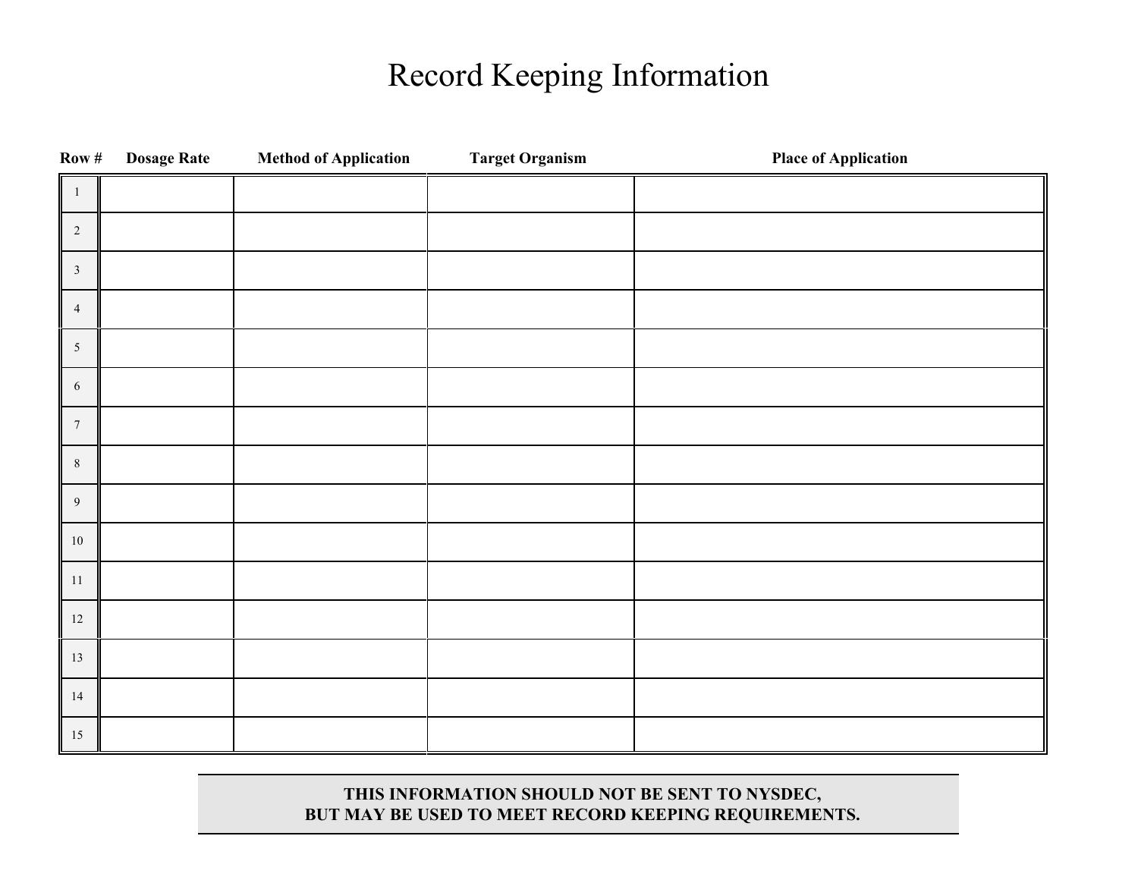# Record Keeping Information

| Row #            | <b>Dosage Rate</b> | <b>Method of Application</b> | <b>Target Organism</b> | <b>Place of Application</b> |
|------------------|--------------------|------------------------------|------------------------|-----------------------------|
| -1               |                    |                              |                        |                             |
| $\overline{2}$   |                    |                              |                        |                             |
| $\mathfrak{Z}$   |                    |                              |                        |                             |
| $\overline{4}$   |                    |                              |                        |                             |
| $5\phantom{.0}$  |                    |                              |                        |                             |
| $\sqrt{6}$       |                    |                              |                        |                             |
| $\boldsymbol{7}$ |                    |                              |                        |                             |
| $8\,$            |                    |                              |                        |                             |
| 9                |                    |                              |                        |                             |
| $10\,$           |                    |                              |                        |                             |
| $11\,$           |                    |                              |                        |                             |
| $12\,$           |                    |                              |                        |                             |
| $13\,$           |                    |                              |                        |                             |
| $14\,$           |                    |                              |                        |                             |
| $15\,$           |                    |                              |                        |                             |

# **THIS INFORMATION SHOULD NOT BE SENT TO NYSDEC, BUT MAY BE USED TO MEET RECORD KEEPING REQUIREMENTS.**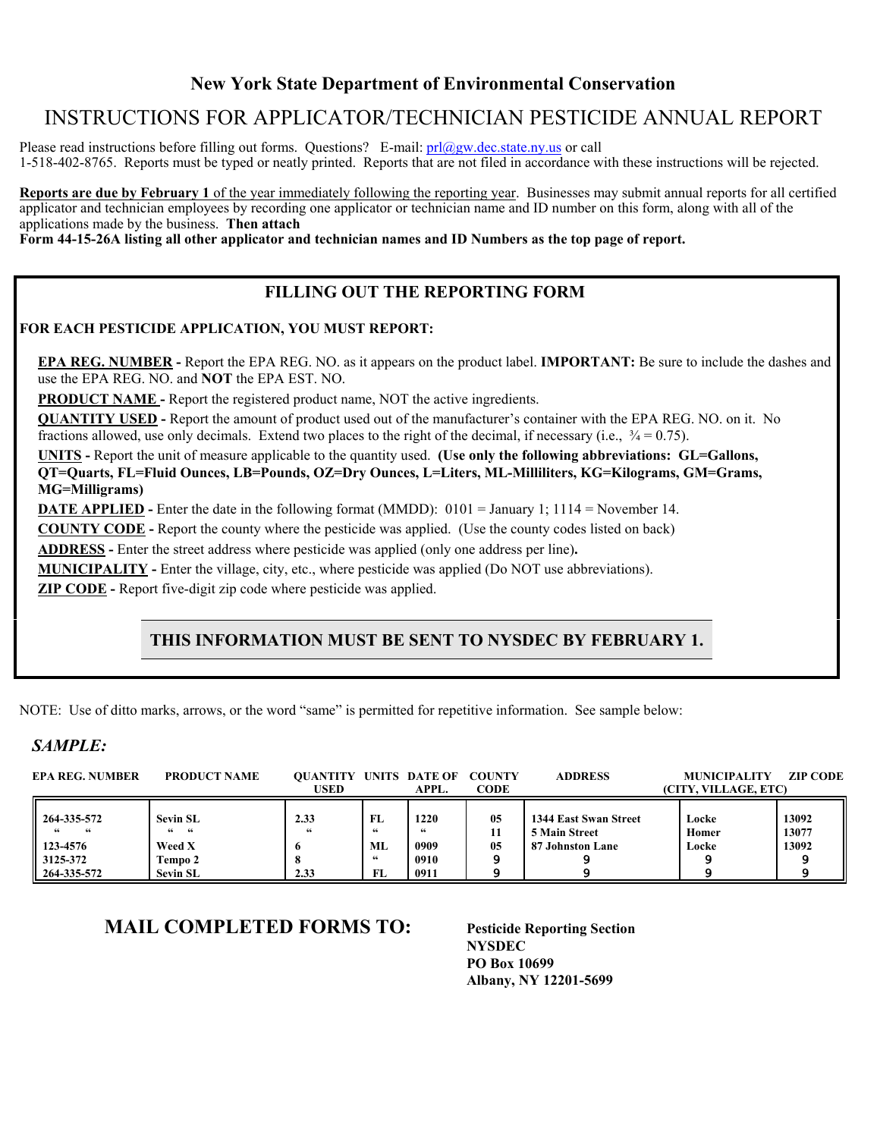# **New York State Department of Environmental Conservation**

# INSTRUCTIONS FOR APPLICATOR/TECHNICIAN PESTICIDE ANNUAL REPORT

Please read instructions before filling out forms. Questions? E-mail:  $prl@gw$ .dec.state.ny.us or call 1-518-402-8765. Reports must be typed or neatly printed. Reports that are not filed in accordance with these instructions will be rejected.

**Reports are due by February 1** of the year immediately following the reporting year. Businesses may submit annual reports for all certified applicator and technician employees by recording one applicator or technician name and ID number on this form, along with all of the applications made by the business. **Then attach** 

**Form 44-15-26A listing all other applicator and technician names and ID Numbers as the top page of report.**

# **FILLING OUT THE REPORTING FORM**

#### **FOR EACH PESTICIDE APPLICATION, YOU MUST REPORT:**

**EPA REG. NUMBER -** Report the EPA REG. NO. as it appears on the product label. **IMPORTANT:** Be sure to include the dashes and use the EPA REG. NO. and **NOT** the EPA EST. NO.

**PRODUCT NAME -** Report the registered product name, NOT the active ingredients.

**QUANTITY USED -** Report the amount of product used out of the manufacturer's container with the EPA REG. NO. on it. No fractions allowed, use only decimals. Extend two places to the right of the decimal, if necessary (i.e.,  $\frac{3}{4} = 0.75$ ).

**UNITS -** Report the unit of measure applicable to the quantity used. **(Use only the following abbreviations: GL=Gallons, QT=Quarts, FL=Fluid Ounces, LB=Pounds, OZ=Dry Ounces, L=Liters, ML-Milliliters, KG=Kilograms, GM=Grams, MG=Milligrams)**

**DATE APPLIED -** Enter the date in the following format (MMDD):0101 = January 1; 1114 = November 14.

**COUNTY CODE -** Report the county where the pesticide was applied. (Use the county codes listed on back)

**ADDRESS -** Enter the street address where pesticide was applied (only one address per line)**.**

**MUNICIPALITY -** Enter the village, city, etc., where pesticide was applied (Do NOT use abbreviations).

**ZIP CODE -** Report five-digit zip code where pesticide was applied.

# **THIS INFORMATION MUST BE SENT TO NYSDEC BY FEBRUARY 1.**

NOTE: Use of ditto marks, arrows, or the word "same" is permitted for repetitive information. See sample below:

## *SAMPLE:*

| <b>EPA REG. NUMBER</b>                                                      | <b>PRODUCT NAME</b>                                      | <b>OUANTITY UNITS DATE OF</b><br><b>USED</b> |                                      | APPL.                              | <b>COUNTY</b><br><b>CODE</b> | <b>ADDRESS</b>                                                    | <b>MUNICIPALITY</b><br>(CITY, VILLAGE, ETC) | <b>ZIP CODE</b>         |
|-----------------------------------------------------------------------------|----------------------------------------------------------|----------------------------------------------|--------------------------------------|------------------------------------|------------------------------|-------------------------------------------------------------------|---------------------------------------------|-------------------------|
| $1264 - 335 - 572$<br>$\epsilon$<br>$123 - 4576$<br>3125-372<br>264-335-572 | Sevin SL<br>6666<br>Weed X<br>Tempo 2<br><b>Sevin SL</b> | 2.33<br>"<br>o<br>2.33                       | FL.<br>66<br>MI.<br>$\epsilon$<br>FL | 1220<br>66<br>0909<br>0910<br>0911 | 05<br>11<br>05               | 1344 East Swan Street<br><b>5 Main Street</b><br>87 Johnston Lane | Locke<br>Homer<br>Locke                     | 13092<br>13077<br>13092 |

# **MAIL COMPLETED FORMS TO: Pesticide Reporting Section**

**NYSDEC PO Box 10699 Albany, NY 12201-5699**